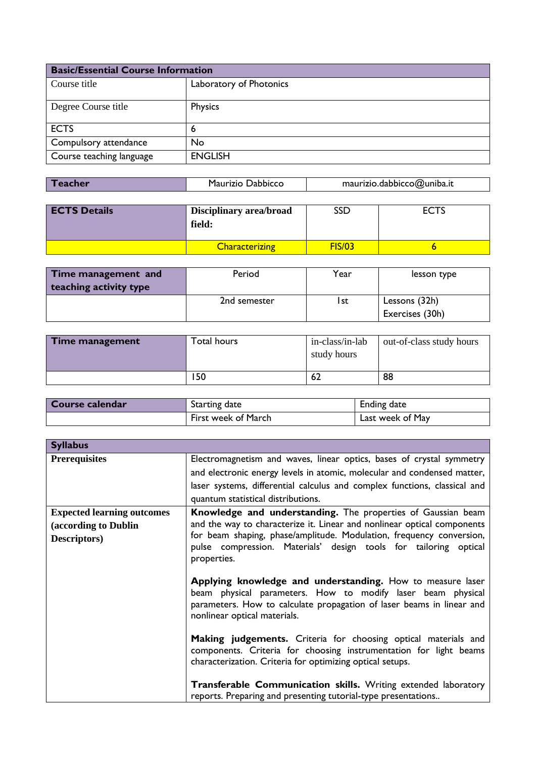| <b>Basic/Essential Course Information</b> |                         |  |
|-------------------------------------------|-------------------------|--|
| Course title                              | Laboratory of Photonics |  |
| Degree Course title                       | Physics                 |  |
| <b>ECTS</b>                               | 6                       |  |
| Compulsory attendance                     | <b>No</b>               |  |
| Course teaching language                  | <b>ENGLISH</b>          |  |

| maurizio.dabbicco@uniba.it<br>Maurizio Dabbicco<br><b>Teacher</b> |  |  |  |
|-------------------------------------------------------------------|--|--|--|
|-------------------------------------------------------------------|--|--|--|

| <b>ECTS Details</b> | <b>Disciplinary area/broad</b><br>field: | SSD           | <b>ECTS</b> |
|---------------------|------------------------------------------|---------------|-------------|
|                     | <b>Characterizing</b>                    | <b>FIS/03</b> |             |

| Time management and    | Period       | Year | lesson type     |
|------------------------|--------------|------|-----------------|
| teaching activity type |              |      |                 |
|                        | 2nd semester | l st | Lessons (32h)   |
|                        |              |      | Exercises (30h) |

| Time management | Total hours | in-class/in-lab<br>study hours | out-of-class study hours |
|-----------------|-------------|--------------------------------|--------------------------|
|                 | 150         | 62                             | 88                       |

| Course calendar | Starting date       | <b>Ending date</b> |
|-----------------|---------------------|--------------------|
|                 | First week of March | Last week of May   |

| <b>Syllabus</b>                                                           |                                                                                                                                                                                                                                                                                                    |
|---------------------------------------------------------------------------|----------------------------------------------------------------------------------------------------------------------------------------------------------------------------------------------------------------------------------------------------------------------------------------------------|
| <b>Prerequisites</b>                                                      | Electromagnetism and waves, linear optics, bases of crystal symmetry<br>and electronic energy levels in atomic, molecular and condensed matter,<br>laser systems, differential calculus and complex functions, classical and<br>quantum statistical distributions.                                 |
| <b>Expected learning outcomes</b><br>(according to Dublin<br>Descriptors) | Knowledge and understanding. The properties of Gaussian beam<br>and the way to characterize it. Linear and nonlinear optical components<br>for beam shaping, phase/amplitude. Modulation, frequency conversion,<br>pulse compression. Materials' design tools for tailoring optical<br>properties. |
|                                                                           | Applying knowledge and understanding. How to measure laser<br>beam physical parameters. How to modify laser beam physical<br>parameters. How to calculate propagation of laser beams in linear and<br>nonlinear optical materials.                                                                 |
|                                                                           | Making judgements. Criteria for choosing optical materials and<br>components. Criteria for choosing instrumentation for light beams<br>characterization. Criteria for optimizing optical setups.                                                                                                   |
|                                                                           | <b>Transferable Communication skills.</b> Writing extended laboratory<br>reports. Preparing and presenting tutorial-type presentations                                                                                                                                                             |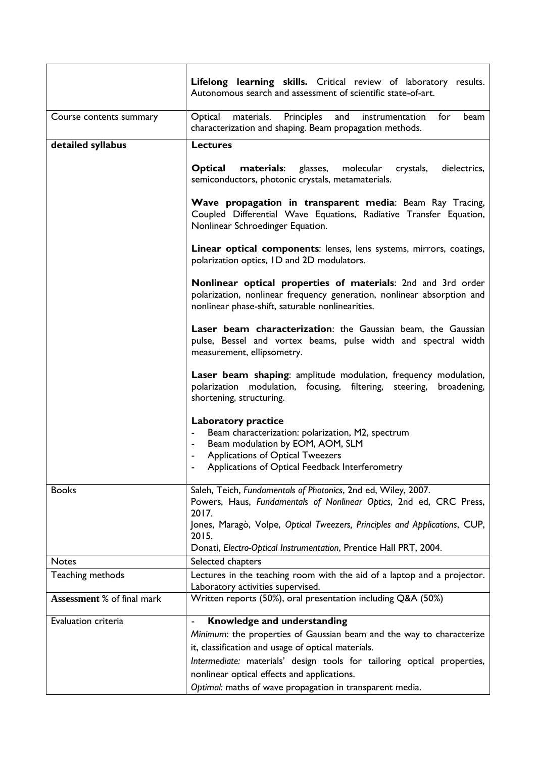|                            | <b>Lifelong learning skills.</b> Critical review of laboratory results.<br>Autonomous search and assessment of scientific state-of-art.                                                                                             |
|----------------------------|-------------------------------------------------------------------------------------------------------------------------------------------------------------------------------------------------------------------------------------|
| Course contents summary    | materials. Principles<br>and instrumentation<br>Optical<br>for<br>beam<br>characterization and shaping. Beam propagation methods.                                                                                                   |
| detailed syllabus          | <b>Lectures</b>                                                                                                                                                                                                                     |
|                            | glasses,<br>molecular<br>dielectrics,<br>Optical<br>materials:<br>crystals,<br>semiconductors, photonic crystals, metamaterials.                                                                                                    |
|                            | Wave propagation in transparent media: Beam Ray Tracing,<br>Coupled Differential Wave Equations, Radiative Transfer Equation,<br>Nonlinear Schroedinger Equation.                                                                   |
|                            | Linear optical components: lenses, lens systems, mirrors, coatings,<br>polarization optics, ID and 2D modulators.                                                                                                                   |
|                            | <b>Nonlinear optical properties of materials:</b> 2nd and 3rd order<br>polarization, nonlinear frequency generation, nonlinear absorption and<br>nonlinear phase-shift, saturable nonlinearities.                                   |
|                            | Laser beam characterization: the Gaussian beam, the Gaussian<br>pulse, Bessel and vortex beams, pulse width and spectral width<br>measurement, ellipsometry.                                                                        |
|                            | Laser beam shaping: amplitude modulation, frequency modulation,<br>polarization modulation, focusing, filtering, steering,<br>broadening,<br>shortening, structuring.                                                               |
|                            | <b>Laboratory practice</b><br>Beam characterization: polarization, M2, spectrum<br>Beam modulation by EOM, AOM, SLM<br>$\blacksquare$<br><b>Applications of Optical Tweezers</b><br>Applications of Optical Feedback Interferometry |
| <b>Books</b>               | Saleh, Teich, Fundamentals of Photonics, 2nd ed, Wiley, 2007.<br>Powers, Haus, Fundamentals of Nonlinear Optics, 2nd ed, CRC Press,<br>2017.                                                                                        |
|                            | Jones, Maragò, Volpe, Optical Tweezers, Principles and Applications, CUP,<br>2015.                                                                                                                                                  |
| <b>Notes</b>               | Donati, Electro-Optical Instrumentation, Prentice Hall PRT, 2004.<br>Selected chapters                                                                                                                                              |
| Teaching methods           | Lectures in the teaching room with the aid of a laptop and a projector.                                                                                                                                                             |
| Assessment % of final mark | Laboratory activities supervised.<br>Written reports (50%), oral presentation including Q&A (50%)                                                                                                                                   |
|                            |                                                                                                                                                                                                                                     |
| Evaluation criteria        | Knowledge and understanding<br>$\blacksquare$                                                                                                                                                                                       |
|                            | Minimum: the properties of Gaussian beam and the way to characterize                                                                                                                                                                |
|                            | it, classification and usage of optical materials.<br>Intermediate: materials' design tools for tailoring optical properties,                                                                                                       |
|                            | nonlinear optical effects and applications.                                                                                                                                                                                         |
|                            | Optimal: maths of wave propagation in transparent media.                                                                                                                                                                            |